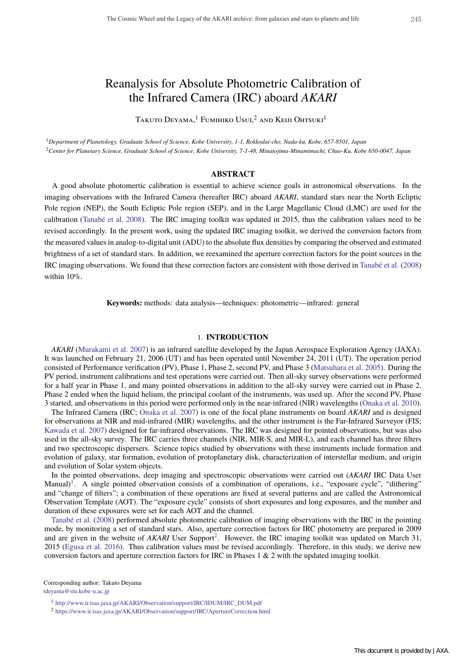# Reanalysis for Absolute Photometric Calibration of the Infrared Camera (IRC) aboard *AKARI*

Takuto Deyama,<sup>1</sup> Fumihiko Usui,<sup>2</sup> and Keiji Ohtsuki<sup>1</sup>

<sup>1</sup>*Department of Planetology, Graduate School of Science, Kobe University, 1-1, Rokkodai-cho, Nada-ku, Kobe, 657-8501, Japan* <sup>2</sup>*Center for Planetary Science, Graduate School of Science, Kobe University, 7-1-48, Minatojima-Minamimachi, Chuo-Ku, Kobe 650-0047, Japan*

#### **ABSTRACT**

A good absolute photomertic calibration is essential to achieve science goals in astronomical observations. In the imaging observations with the Infrared Camera (hereafter IRC) aboard *AKARI*, standard stars near the North Ecliptic Pole region (NEP), the South Ecliptic Pole region (SEP), and in the Large Magellanic Cloud (LMC) are used for the calibration (Tanabé et al. 2008). The IRC imaging toolkit was updated in 2015, thus the calibration values need to be revised accordingly. In the present work, using the updated IRC imaging toolkit, we derived the conversion factors from the measured values in analog-to-digital unit (ADU) to the absolute flux densities by comparing the observed and estimated brightness of a set of standard stars. In addition, we reexamined the aperture correction factors for the point sources in the IRC imaging observations. We found that these correction factors are consistent with those derived in Tanabé et al. (2008) within 10%.

**Keywords:** methods: data analysis—techniques: photometric—infrared: general

# 1. **INTRODUCTION**

*AKARI* (Murakami et al. 2007) is an infrared satellite developed by the Japan Aerospace Exploration Agency (JAXA). It was launched on February 21, 2006 (UT) and has been operated until November 24, 2011 (UT). The operation period consisted of Performance verification (PV), Phase 1, Phase 2, second PV, and Phase 3 (Matsuhara et al. 2005). During the PV period, instrument calibrations and test operations were carried out. Then all-sky survey observations were performed for a half year in Phase 1, and many pointed observations in addition to the all-sky survey were carried out in Phase 2. Phase 2 ended when the liquid helium, the principal coolant of the instruments, was used up. After the second PV, Phase 3 started, and observations in this period were performed only in the near-infrared (NIR) wavelengths (Onaka et al. 2010).

The Infrared Camera (IRC; Onaka et al. 2007) is one of the focal plane instruments on board *AKARI* and is designed for observations at NIR and mid-infrared (MIR) wavelengths, and the other instrument is the Far-Infrared Surveyor (FIS; Kawada et al. 2007) designed for far-infrared observations. The IRC was designed for pointed observations, but was also used in the all-sky survey. The IRC carries three channels (NIR, MIR-S, and MIR-L), and each channel has three filters and two spectroscopic dispersers. Science topics studied by observations with these instruments include formation and evolution of galaxy, star formation, evolution of protoplanetary disk, characterization of interstellar medium, and origin and evolution of Solar system objects.

In the pointed observations, deep imaging and spectroscopic observations were carried out (*AKARI* IRC Data User Manual)<sup>1</sup>. A single pointed observation consists of a combination of operations, i.e., "exposure cycle", "dithering" and "change of filters"; a combination of these operations are fixed at several patterns and are called the Astronomical Observation Template (AOT). The "exposure cycle" consists of short exposures and long exposures, and the number and duration of these exposures were set for each AOT and the channel.

Tanabé et al. (2008) performed absolute photometric calibration of imaging observations with the IRC in the pointing mode, by monitoring a set of standard stars. Also, aperture correction factors for IRC photometry are prepared in 2009 and are given in the website of *AKARI* User Support<sup>2</sup>. However, the IRC imaging toolkit was updated on March 31, 2015 (Egusa et al. 2016). Thus calibration values must be revised accordingly. Therefore, in this study, we derive new conversion factors and aperture correction factors for IRC in Phases 1 & 2 with the updated imaging toolkit.

Corresponding author: Takuto Deyama tdeyama@stu.kobe-u.ac.jp

<sup>1</sup> http://www.ir.isas.jaxa.jp/AKARI/Observation/support/IRC/IDUM/IRC\_DUM.pdf

<sup>2</sup> https://www.ir.isas.jaxa.jp/AKARI/Observation/support/IRC/ApertureCorrection.html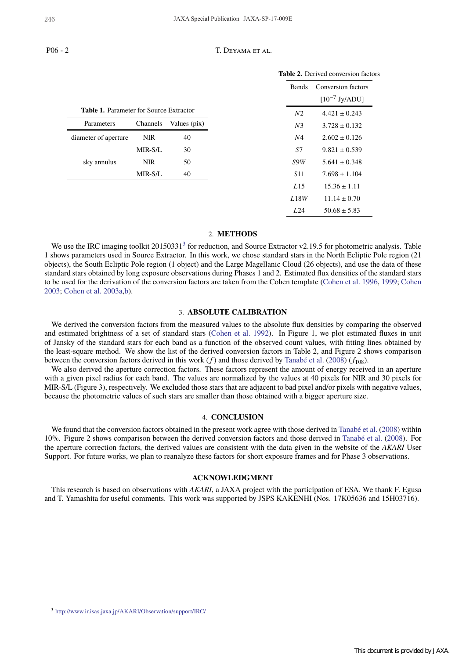$\equiv$ 

#### P06 - 2 T. DEYAMA ET AL.

|                                                |            |              | Table 2. Derived conversion factors |                                          |
|------------------------------------------------|------------|--------------|-------------------------------------|------------------------------------------|
|                                                |            |              | <b>Bands</b>                        | Conversion factors<br>$[10^{-7}$ Jy/ADU] |
| <b>Table 1.</b> Parameter for Source Extractor |            |              | N <sub>2</sub>                      | $4.421 \pm 0.243$                        |
| Parameters                                     | Channels   | Values (pix) | N <sub>3</sub>                      | $3.728 \pm 0.132$                        |
| diameter of aperture                           | <b>NIR</b> | 40           | N4                                  | $2.602 \pm 0.126$                        |
|                                                | MIR-S/L    | 30           | S7                                  | $9.821 \pm 0.539$                        |
| sky annulus                                    | <b>NIR</b> | 50           | S9W                                 | $5.641 \pm 0.348$                        |
|                                                | MIR-S/L    | 40           | <i>S</i> <sup>11</sup>              | $7.698 \pm 1.104$                        |
|                                                |            |              | L15                                 | $15.36 \pm 1.11$                         |
|                                                |            |              | L18W                                | $11.14 \pm 0.70$                         |
|                                                |            |              | L24                                 | $50.68 \pm 5.83$                         |

#### 2. **METHODS**

We use the IRC imaging toolkit  $20150331<sup>3</sup>$  for reduction, and Source Extractor v2.19.5 for photometric analysis. Table 1 shows parameters used in Source Extractor. In this work, we chose standard stars in the North Ecliptic Pole region (21 objects), the South Ecliptic Pole region (1 object) and the Large Magellanic Cloud (26 objects), and use the data of these standard stars obtained by long exposure observations during Phases 1 and 2. Estimated flux densities of the standard stars to be used for the derivation of the conversion factors are taken from the Cohen template (Cohen et al. 1996, 1999; Cohen 2003; Cohen et al. 2003a,b).

## 3. **ABSOLUTE CALIBRATION**

We derived the conversion factors from the measured values to the absolute flux densities by comparing the observed and estimated brightness of a set of standard stars (Cohen et al. 1992). In Figure 1, we plot estimated fluxes in unit of Jansky of the standard stars for each band as a function of the observed count values, with fitting lines obtained by the least-square method. We show the list of the derived conversion factors in Table 2, and Figure 2 shows comparison between the conversion factors derived in this work  $(f)$  and those derived by Tanabé et al. (2008) ( $f_{T08}$ ).

We also derived the aperture correction factors. These factors represent the amount of energy received in an aperture with a given pixel radius for each band. The values are normalized by the values at 40 pixels for NIR and 30 pixels for MIR-S/L (Figure 3), respectively. We excluded those stars that are adjacent to bad pixel and/or pixels with negative values, because the photometric values of such stars are smaller than those obtained with a bigger aperture size.

## 4. **CONCLUSION**

We found that the conversion factors obtained in the present work agree with those derived in Tanabé et al. (2008) within 10%. Figure 2 shows comparison between the derived conversion factors and those derived in Tanabé et al. (2008). For the aperture correction factors, the derived values are consistent with the data given in the website of the *AKARI* User Support. For future works, we plan to reanalyze these factors for short exposure frames and for Phase 3 observations.

### **ACKNOWLEDGMENT**

This research is based on observations with *AKARI*, a JAXA project with the participation of ESA. We thank F. Egusa and T. Yamashita for useful comments. This work was supported by JSPS KAKENHI (Nos. 17K05636 and 15H03716).

<sup>3</sup> http://www.ir.isas.jaxa.jp/AKARI/Observation/support/IRC/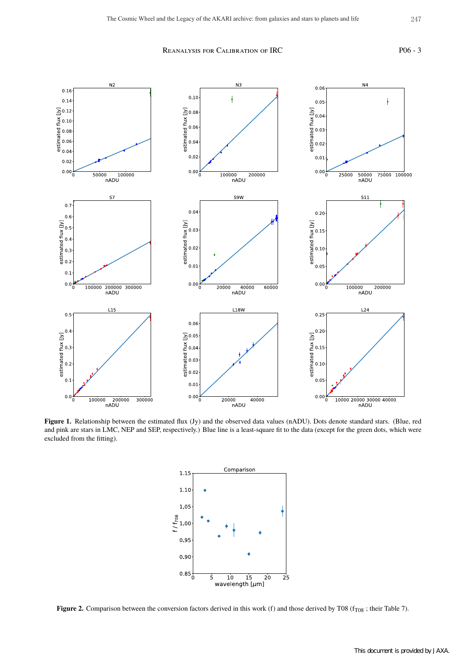# REANALYSIS FOR CALIBRATION OF IRC PO6 - 3



Figure 1. Relationship between the estimated flux (Jy) and the observed data values (nADU). Dots denote standard stars. (Blue, red and pink are stars in LMC, NEP and SEP, respectively.) Blue line is a least-square fit to the data (except for the green dots, which were excluded from the fitting).



**Figure 2.** Comparison between the conversion factors derived in this work (f) and those derived by T08 ( $f_{T08}$ ; their Table 7).